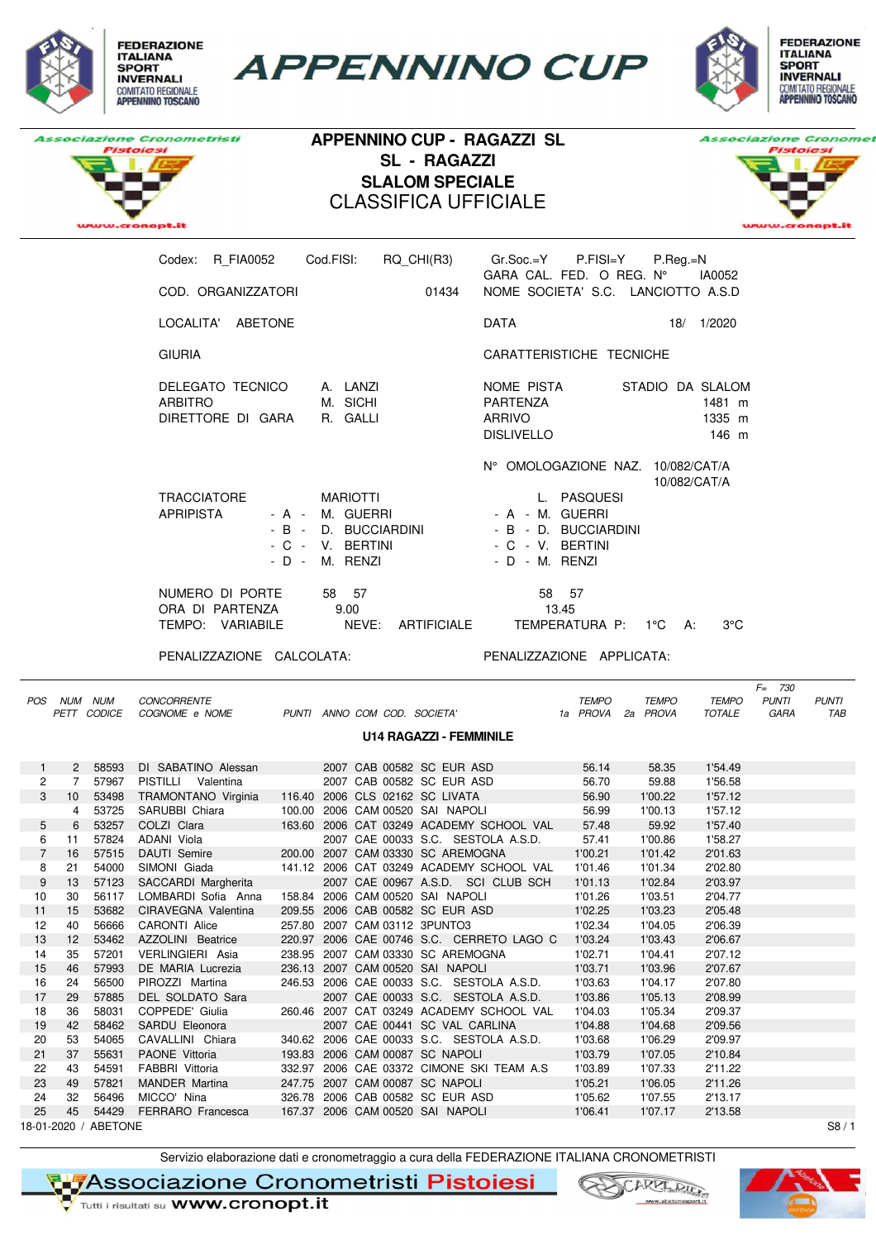

**APPENNINO CUP** 





## **APPENNINO CUP - RAGAZZI SL SL - RAGAZZI SLALOM SPECIALE** CLASSIFICA UFFICIALE



| RQ CHI(R3)<br>R FIA0052<br>Cod.FISI:<br>Codex:                                                            | $Gr.Soc.=Y$ P.FISI=Y<br>$P_{\cdot}$ Reg $_{\cdot}$ =N<br>$GARA$ CAL. FED. O REG. $N^{\circ}$<br>IA0052         |
|-----------------------------------------------------------------------------------------------------------|----------------------------------------------------------------------------------------------------------------|
| COD. ORGANIZZATORI<br>01434                                                                               | NOME SOCIETA' S.C. LANCIOTTO A.S.D                                                                             |
| LOCALITA' ABETONE                                                                                         | <b>DATA</b><br>18/<br>1/2020                                                                                   |
| <b>GIURIA</b>                                                                                             | CARATTERISTICHE TECNICHE                                                                                       |
| A. LANZI<br>DELEGATO TECNICO<br>M. SICHI<br><b>ARBITRO</b><br>DIRETTORE DI GARA<br>R. GALLI               | NOME PISTA<br>STADIO DA SLALOM<br>PARTENZA<br>1481 m<br><b>ARRIVO</b><br>1335 m<br><b>DISLIVELLO</b><br>146 m  |
| <b>TRACCIATORE</b><br><b>MARIOTTI</b><br><b>APRIPISTA</b><br>- A - M. GUERRI<br>- B - D. BUCCIARDINI      | N° OMOLOGAZIONE NAZ.<br>10/082/CAT/A<br>10/082/CAT/A<br>L. PASQUESI<br>- A - M. GUERRI<br>- B - D. BUCCIARDINI |
| - C - V. BERTINI<br>- D - M. RENZI                                                                        | - C - V. BERTINI<br>- D - M. RENZI                                                                             |
| NUMERO DI PORTE<br>57<br>58<br>ORA DI PARTENZA<br>9.00<br>NEVE:<br>TEMPO: VARIABILE<br><b>ARTIFICIALE</b> | 58 57<br>13.45<br>TEMPERATURA P:<br>$3^{\circ}$ C<br>$1^{\circ}$ C<br>A:                                       |

PENALIZZAZIONE CALCOLATA: PENALIZZAZIONE APPLICATA:

|                | POS NUM NUM    |                      | <b>CONCORRENTE</b>                                      |  |                               |                                           | <b>TEMPO</b> | <b>TEMPO</b> | <b>TEMPO</b> | $F = 730$<br><b>PUNTI</b> | <b>PUNTI</b> |
|----------------|----------------|----------------------|---------------------------------------------------------|--|-------------------------------|-------------------------------------------|--------------|--------------|--------------|---------------------------|--------------|
|                |                | PETT CODICE          | COGNOME e NOME                                          |  |                               | PUNTI ANNO COM COD. SOCIETA'              | 1a PROVA     | 2a PROVA     | TOTALE       | GARA                      | TAB          |
|                |                |                      |                                                         |  |                               | <b>U14 RAGAZZI - FEMMINILE</b>            |              |              |              |                           |              |
|                | $\overline{2}$ | 58593                | DI SABATINO Alessan                                     |  |                               | 2007 CAB 00582 SC EUR ASD                 | 56.14        | 58.35        | 1'54.49      |                           |              |
| 2              | $\overline{7}$ | 57967                | PISTILLI Valentina                                      |  |                               | 2007 CAB 00582 SC EUR ASD                 | 56.70        | 59.88        | 1'56.58      |                           |              |
| 3              | 10             | 53498                | TRAMONTANO Virginia 116.40 2006 CLS 02162 SC LIVATA     |  |                               |                                           | 56.90        | 1'00.22      | 1'57.12      |                           |              |
|                | 4              | 53725                | SARUBBI Chiara                                          |  |                               | 100.00 2006 CAM 00520 SAI NAPOLI          | 56.99        | 1'00.13      | 1'57.12      |                           |              |
| 5              | 6              | 53257                | COLZI Clara                                             |  |                               | 163.60 2006 CAT 03249 ACADEMY SCHOOL VAL  | 57.48        | 59.92        | 1'57.40      |                           |              |
| 6              | 11             | 57824                | ADANI Viola                                             |  |                               | 2007 CAE 00033 S.C. SESTOLA A.S.D.        | 57.41        | 1'00.86      | 1'58.27      |                           |              |
| $\overline{7}$ | 16             | 57515                | DAUTI Semire <b>Contract Contract Contract Contract</b> |  |                               | 200.00 2007 CAM 03330 SC AREMOGNA         | 1'00.21      | 1'01.42      | 2'01.63      |                           |              |
| 8              | 21             | 54000                | SIMONI Giada                                            |  |                               | 141.12 2006 CAT 03249 ACADEMY SCHOOL VAL  | 1'01.46      | 1'01.34      | 2'02.80      |                           |              |
| 9              | 13             | 57123                | SACCARDI Margherita                                     |  |                               | 2007 CAE 00967 A.S.D. SCI CLUB SCH        | 1'01.13      | 1'02.84      | 2'03.97      |                           |              |
| 10             | 30             | 56117                | LOMBARDI Sofia Anna                                     |  |                               | 158.84 2006 CAM 00520 SAI NAPOLI          | 1'01.26      | 1'03.51      | 2'04.77      |                           |              |
| 11             | 15             | 53682                | CIRAVEGNA Valentina                                     |  |                               | 209.55 2006 CAB 00582 SC EUR ASD          | 1'02.25      | 1'03.23      | 2'05.48      |                           |              |
| 12             | 40             | 56666                | CARONTI Alice                                           |  | 257.80 2007 CAM 03112 3PUNTO3 |                                           | 1'02.34      | 1'04.05      | 2'06.39      |                           |              |
| 13             | 12             | 53462                | AZZOLINI Beatrice                                       |  |                               | 220.97 2006 CAE 00746 S.C. CERRETO LAGO C | 1'03.24      | 1'03.43      | 2'06.67      |                           |              |
| 14             | 35             | 57201                | VERLINGIERI Asia                                        |  |                               | 238.95 2007 CAM 03330 SC AREMOGNA         | 1'02.71      | 1'04.41      | 2'07.12      |                           |              |
| 15             | 46             | 57993                | DE MARIA Lucrezia                                       |  |                               | 236.13 2007 CAM 00520 SAI NAPOLI          | 1'03.71      | 1'03.96      | 2'07.67      |                           |              |
| 16             | 24             | 56500                | PIROZZI Martina                                         |  |                               | 246.53 2006 CAE 00033 S.C. SESTOLA A.S.D. | 1'03.63      | 1'04.17      | 2'07.80      |                           |              |
| 17             | 29             | 57885                | DEL SOLDATO Sara                                        |  |                               | 2007 CAE 00033 S.C. SESTOLA A.S.D.        | 1'03.86      | 1'05.13      | 2'08.99      |                           |              |
| 18             | 36             | 58031                | COPPEDE' Giulia                                         |  |                               | 260.46 2007 CAT 03249 ACADEMY SCHOOL VAL  | 1'04.03      | 1'05.34      | 2'09.37      |                           |              |
| 19             | 42             | 58462                | SARDU Eleonora                                          |  |                               | 2007 CAE 00441 SC VAL CARLINA             | 1'04.88      | 1'04.68      | 2'09.56      |                           |              |
| 20             | 53             | 54065                | CAVALLINI Chiara                                        |  |                               | 340.62 2006 CAE 00033 S.C. SESTOLA A.S.D. | 1'03.68      | 1'06.29      | 2'09.97      |                           |              |
| 21             | 37             | 55631                | <b>PAONE</b> Vittoria                                   |  |                               | 193.83 2006 CAM 00087 SC NAPOLI           | 1'03.79      | 1'07.05      | 2'10.84      |                           |              |
| 22             | 43             | 54591                | FABBRI Vittoria                                         |  |                               | 332.97 2006 CAE 03372 CIMONE SKI TEAM A.S | 1'03.89      | 1'07.33      | 2'11.22      |                           |              |
| 23             | 49             | 57821                | <b>MANDER Martina</b>                                   |  |                               | 247.75 2007 CAM 00087 SC NAPOLI           | 1'05.21      | 1'06.05      | 2'11.26      |                           |              |
| 24             | 32             | 56496                | MICCO' Nina                                             |  |                               | 326.78 2006 CAB 00582 SC EUR ASD          | 1'05.62      | 1'07.55      | 2'13.17      |                           |              |
| 25             | 45             | 54429                | FERRARO Francesca                                       |  |                               | 167.37 2006 CAM 00520 SAI NAPOLI          | 1'06.41      | 1'07.17      | 2'13.58      |                           |              |
|                |                | 18-01-2020 / ABETONE |                                                         |  |                               |                                           |              |              |              |                           | S8/1         |

Servizio elaborazione dati e cronometraggio a cura della FEDERAZIONE ITALIANA CRONOMETRISTI

**TIFAssociazione Cronometristi Pistoiesi** 



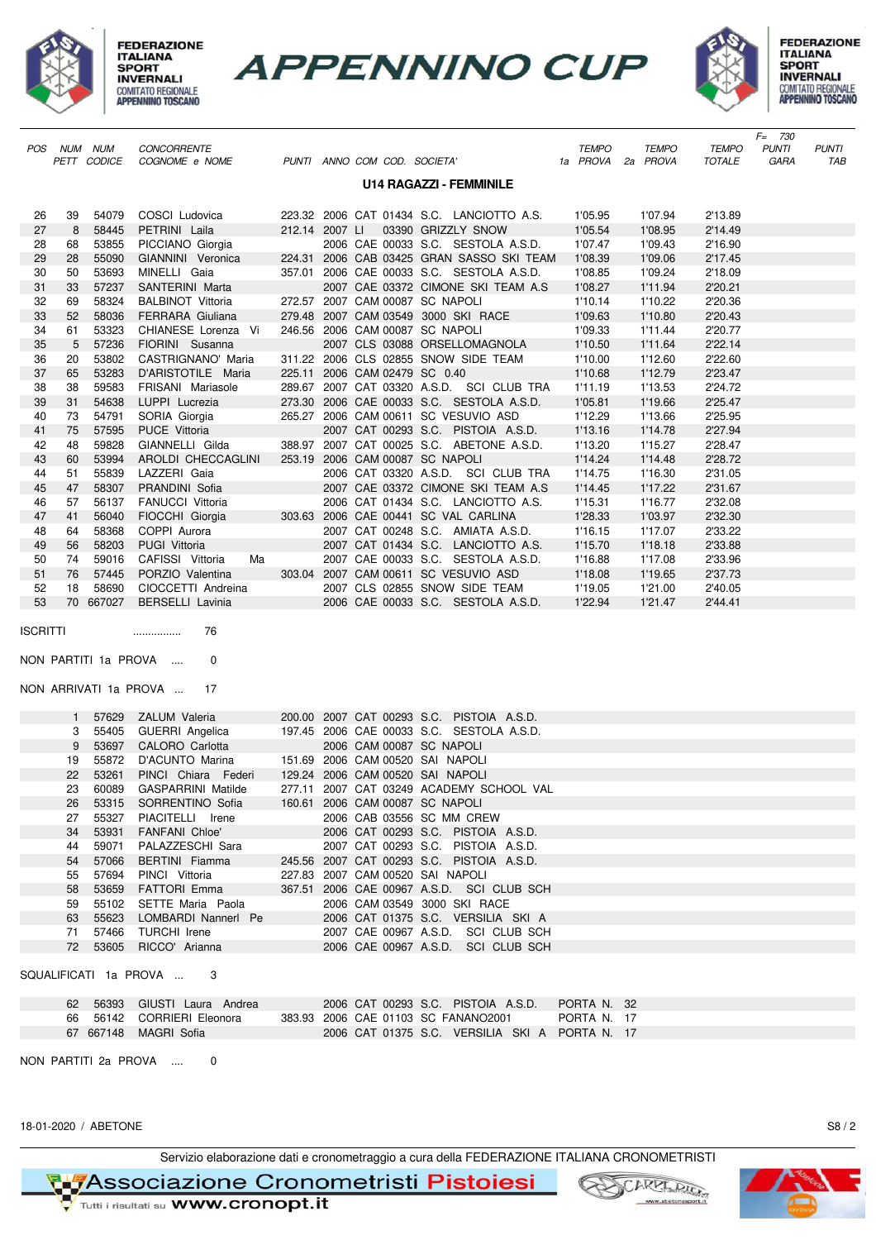

**FEDERAZIONE ITALIANA INVERNALI** COMITATO REGIONALE<br>APPENNINO TOSCANO





|                 |              |             |                                                     |                |                               |                                                                                       |              |                   |               | $F = 730$    |              |
|-----------------|--------------|-------------|-----------------------------------------------------|----------------|-------------------------------|---------------------------------------------------------------------------------------|--------------|-------------------|---------------|--------------|--------------|
|                 | POS NUM NUM  |             | CONCORRENTE                                         |                |                               |                                                                                       | <b>TEMPO</b> | <b>TEMPO</b>      | <b>TEMPO</b>  | <b>PUNTI</b> | <b>PUNTI</b> |
|                 |              | PETT CODICE | COGNOME e NOME                                      |                | PUNTI ANNO COM COD. SOCIETA'  |                                                                                       |              | 1a PROVA 2a PROVA | <b>TOTALE</b> | GARA         | TAB          |
|                 |              |             |                                                     |                |                               | <b>U14 RAGAZZI - FEMMINILE</b>                                                        |              |                   |               |              |              |
|                 |              |             |                                                     |                |                               |                                                                                       |              |                   |               |              |              |
| 26              | 39           | 54079       | COSCI Ludovica                                      |                |                               | 223.32 2006 CAT 01434 S.C. LANCIOTTO A.S.                                             | 1'05.95      | 1'07.94           | 2'13.89       |              |              |
| 27              | 8            | 58445       | PETRINI Laila                                       | 212.14 2007 LI |                               | 03390 GRIZZLY SNOW                                                                    | 1'05.54      | 1'08.95           | 2'14.49       |              |              |
| 28              | 68           | 53855       | PICCIANO Giorgia                                    |                |                               | 2006 CAE 00033 S.C. SESTOLA A.S.D.                                                    | 1'07.47      | 1'09.43           | 2'16.90       |              |              |
| 29              | 28           | 55090       | GIANNINI Veronica                                   |                |                               | 224.31 2006 CAB 03425 GRAN SASSO SKI TEAM                                             | 1'08.39      | 1'09.06           | 2'17.45       |              |              |
| 30              | 50           | 53693       | MINELLI Gaia                                        |                |                               | 357.01 2006 CAE 00033 S.C. SESTOLA A.S.D.                                             | 1'08.85      | 1'09.24           | 2'18.09       |              |              |
| 31              | 33           | 57237       | SANTERINI Marta                                     |                |                               | 2007 CAE 03372 CIMONE SKI TEAM A.S                                                    | 1'08.27      | 1'11.94           | 2'20.21       |              |              |
| 32              | 69           | 58324       | <b>BALBINOT Vittoria</b>                            |                |                               | 272.57 2007 CAM 00087 SC NAPOLI                                                       | 1'10.14      | 1'10.22           | 2'20.36       |              |              |
| 33              | 52           | 58036       | FERRARA Giuliana                                    |                |                               | 279.48 2007 CAM 03549 3000 SKI RACE                                                   | 1'09.63      | 1'10.80           | 2'20.43       |              |              |
| 34              | 61           | 53323       | CHIANESE Lorenza Vi                                 |                |                               | 246.56 2006 CAM 00087 SC NAPOLI                                                       | 1'09.33      | 1'11.44           | 2'20.77       |              |              |
| 35              | 5            | 57236       | FIORINI Susanna                                     |                |                               | 2007 CLS 03088 ORSELLOMAGNOLA                                                         | 1'10.50      | 1'11.64           | 2'22.14       |              |              |
| 36              | 20           | 53802       | CASTRIGNANO' Maria                                  |                |                               | 311.22 2006 CLS 02855 SNOW SIDE TEAM                                                  | 1'10.00      | 1'12.60           | 2'22.60       |              |              |
| 37              | 65           | 53283       | D'ARISTOTILE Maria                                  |                | 225.11 2006 CAM 02479 SC 0.40 |                                                                                       | 1'10.68      | 1'12.79           | 2'23.47       |              |              |
| 38              | 38           | 59583       | FRISANI Mariasole                                   |                |                               | 289.67 2007 CAT 03320 A.S.D. SCI CLUB TRA                                             | 1'11.19      | 1'13.53           | 2'24.72       |              |              |
| 39              | 31           | 54638       | LUPPI Lucrezia                                      |                |                               | 273.30 2006 CAE 00033 S.C. SESTOLA A.S.D.                                             | 1'05.81      | 1'19.66           | 2'25.47       |              |              |
| 40              | 73           | 54791       | SORIA Giorgia                                       |                |                               | 265.27 2006 CAM 00611 SC VESUVIO ASD                                                  | 1'12.29      | 1'13.66           | 2'25.95       |              |              |
| 41              | 75           | 57595       | PUCE Vittoria                                       |                |                               | 2007 CAT 00293 S.C. PISTOIA A.S.D.                                                    | 1'13.16      | 1'14.78           | 2'27.94       |              |              |
| 42              | 48           | 59828       | GIANNELLI Gilda                                     |                |                               | 388.97 2007 CAT 00025 S.C. ABETONE A.S.D.                                             | 1'13.20      | 1'15.27           | 2'28.47       |              |              |
| 43              | 60           | 53994       | AROLDI CHECCAGLINI                                  |                |                               | 253.19 2006 CAM 00087 SC NAPOLI                                                       | 1'14.24      | 1'14.48           | 2'28.72       |              |              |
| 44              | 51           | 55839       | LAZZERI Gaia                                        |                |                               | 2006 CAT 03320 A.S.D. SCI CLUB TRA                                                    | 1'14.75      | 1'16.30           | 2'31.05       |              |              |
| 45              | 47           | 58307       | PRANDINI Sofia                                      |                |                               | 2007 CAE 03372 CIMONE SKI TEAM A.S                                                    | 1'14.45      | 1'17.22           | 2'31.67       |              |              |
| 46              | 57           | 56137       | <b>FANUCCI Vittoria</b>                             |                |                               | 2006 CAT 01434 S.C. LANCIOTTO A.S.                                                    | 1'15.31      | 1'16.77           | 2'32.08       |              |              |
| 47              | 41           | 56040       | FIOCCHI Giorgia                                     |                |                               | 303.63 2006 CAE 00441 SC VAL CARLINA                                                  | 1'28.33      | 1'03.97           | 2'32.30       |              |              |
| 48              | 64           | 58368       | COPPI Aurora                                        |                |                               | 2007 CAT 00248 S.C. AMIATA A.S.D.                                                     | 1'16.15      | 1'17.07           | 2'33.22       |              |              |
| 49              | 56           | 58203       | PUGI Vittoria                                       |                |                               | 2007 CAT 01434 S.C. LANCIOTTO A.S.                                                    | 1'15.70      | 1'18.18           | 2'33.88       |              |              |
| 50              | 74           | 59016       | CAFISSI Vittoria<br>Ma                              |                |                               | 2007 CAE 00033 S.C. SESTOLA A.S.D.                                                    | 1'16.88      | 1'17.08           | 2'33.96       |              |              |
| 51              | 76           | 57445       | PORZIO Valentina                                    |                |                               | 303.04 2007 CAM 00611 SC VESUVIO ASD                                                  | 1'18.08      | 1'19.65           | 2'37.73       |              |              |
| 52              | 18           | 58690       | CIOCCETTI Andreina                                  |                |                               | 2007 CLS 02855 SNOW SIDE TEAM                                                         | 1'19.05      | 1'21.00           | 2'40.05       |              |              |
| 53              |              | 70 667027   | <b>BERSELLI Lavinia</b>                             |                |                               | 2006 CAE 00033 S.C. SESTOLA A.S.D.                                                    | 1'22.94      | 1'21.47           | 2'44.41       |              |              |
|                 |              |             |                                                     |                |                               |                                                                                       |              |                   |               |              |              |
| <b>ISCRITTI</b> |              |             | 76<br>                                              |                |                               |                                                                                       |              |                   |               |              |              |
|                 |              |             |                                                     |                |                               |                                                                                       |              |                   |               |              |              |
|                 |              |             | NON PARTITI 1a PROVA<br>0                           |                |                               |                                                                                       |              |                   |               |              |              |
|                 |              |             |                                                     |                |                               |                                                                                       |              |                   |               |              |              |
|                 |              |             | NON ARRIVATI 1a PROVA<br>17                         |                |                               |                                                                                       |              |                   |               |              |              |
|                 |              |             |                                                     |                |                               |                                                                                       |              |                   |               |              |              |
|                 | $\mathbf{1}$ | 57629       | ZALUM Valeria                                       |                |                               | 200.00 2007 CAT 00293 S.C. PISTOIA A.S.D.                                             |              |                   |               |              |              |
|                 | 3            | 55405       | <b>GUERRI</b> Angelica                              |                |                               | 197.45 2006 CAE 00033 S.C. SESTOLA A.S.D.                                             |              |                   |               |              |              |
|                 | 9            | 53697       | CALORO Carlotta                                     |                |                               | 2006 CAM 00087 SC NAPOLI                                                              |              |                   |               |              |              |
|                 | 19           | 55872       | D'ACUNTO Marina                                     |                |                               | 151.69 2006 CAM 00520 SAI NAPOLI                                                      |              |                   |               |              |              |
|                 | 22           | 53261       | PINCI Chiara Federi                                 |                |                               | 129.24 2006 CAM 00520 SAI NAPOLI                                                      |              |                   |               |              |              |
|                 | 23           |             | 60089 GASPARRINI Matilde                            |                |                               | 277.11 2007 CAT 03249 ACADEMY SCHOOL VAL                                              |              |                   |               |              |              |
|                 | 26           | 53315       | SORRENTINO Sofia                                    |                |                               | 160.61 2006 CAM 00087 SC NAPOLI                                                       |              |                   |               |              |              |
|                 | 27           | 55327       | PIACITELLI Irene                                    |                |                               | 2006 CAB 03556 SC MM CREW                                                             |              |                   |               |              |              |
|                 | 34           | 53931       | <b>FANFANI Chloe'</b>                               |                |                               | 2006 CAT 00293 S.C. PISTOIA A.S.D.                                                    |              |                   |               |              |              |
|                 | 44           | 59071       | PALAZZESCHI Sara                                    |                |                               | 2007 CAT 00293 S.C. PISTOIA A.S.D.                                                    |              |                   |               |              |              |
|                 |              |             |                                                     |                |                               | 245.56 2007 CAT 00293 S.C. PISTOIA A.S.D.                                             |              |                   |               |              |              |
|                 | 54           | 57066       | BERTINI Fiamma                                      |                |                               |                                                                                       |              |                   |               |              |              |
|                 | 55           | 57694       | PINCI Vittoria                                      |                |                               | 227.83 2007 CAM 00520 SAI NAPOLI                                                      |              |                   |               |              |              |
|                 | 58           | 53659       | <b>FATTORI Emma</b>                                 |                |                               | 367.51 2006 CAE 00967 A.S.D. SCI CLUB SCH                                             |              |                   |               |              |              |
|                 | 59           | 55102       | SETTE Maria Paola                                   |                |                               | 2006 CAM 03549 3000 SKI RACE                                                          |              |                   |               |              |              |
|                 | 63           | 55623       | LOMBARDI Nannerl Pe                                 |                |                               | 2006 CAT 01375 S.C. VERSILIA SKI A                                                    |              |                   |               |              |              |
|                 | 71           | 57466       | <b>TURCHI</b> Irene                                 |                |                               | 2007 CAE 00967 A.S.D. SCI CLUB SCH                                                    |              |                   |               |              |              |
|                 | 72           | 53605       | RICCO' Arianna                                      |                |                               | 2006 CAE 00967 A.S.D. SCI CLUB SCH                                                    |              |                   |               |              |              |
|                 |              |             |                                                     |                |                               |                                                                                       |              |                   |               |              |              |
|                 |              |             | SQUALIFICATI 1a PROVA<br>3                          |                |                               |                                                                                       |              |                   |               |              |              |
|                 |              |             |                                                     |                |                               |                                                                                       |              |                   |               |              |              |
|                 |              | 62 56393    | GIUSTI Laura Andrea                                 |                |                               | 2006 CAT 00293 S.C. PISTOIA A.S.D.                                                    | PORTA N. 32  |                   |               |              |              |
|                 |              |             | 66 56142 CORRIERI Eleonora<br>67 667148 MAGRI Sofia |                |                               | 383.93 2006 CAE 01103 SC FANANO2001<br>2006 CAT 01375 S.C. VERSILIA SKI A PORTA N. 17 | PORTA N. 17  |                   |               |              |              |

NON PARTITI 2a PROVA .... 0



Servizio elaborazione dati e cronometraggio a cura della FEDERAZIONE ITALIANA CRONOMETRISTI

**RIZASSociazione Cronometristi Pistoiesi** 



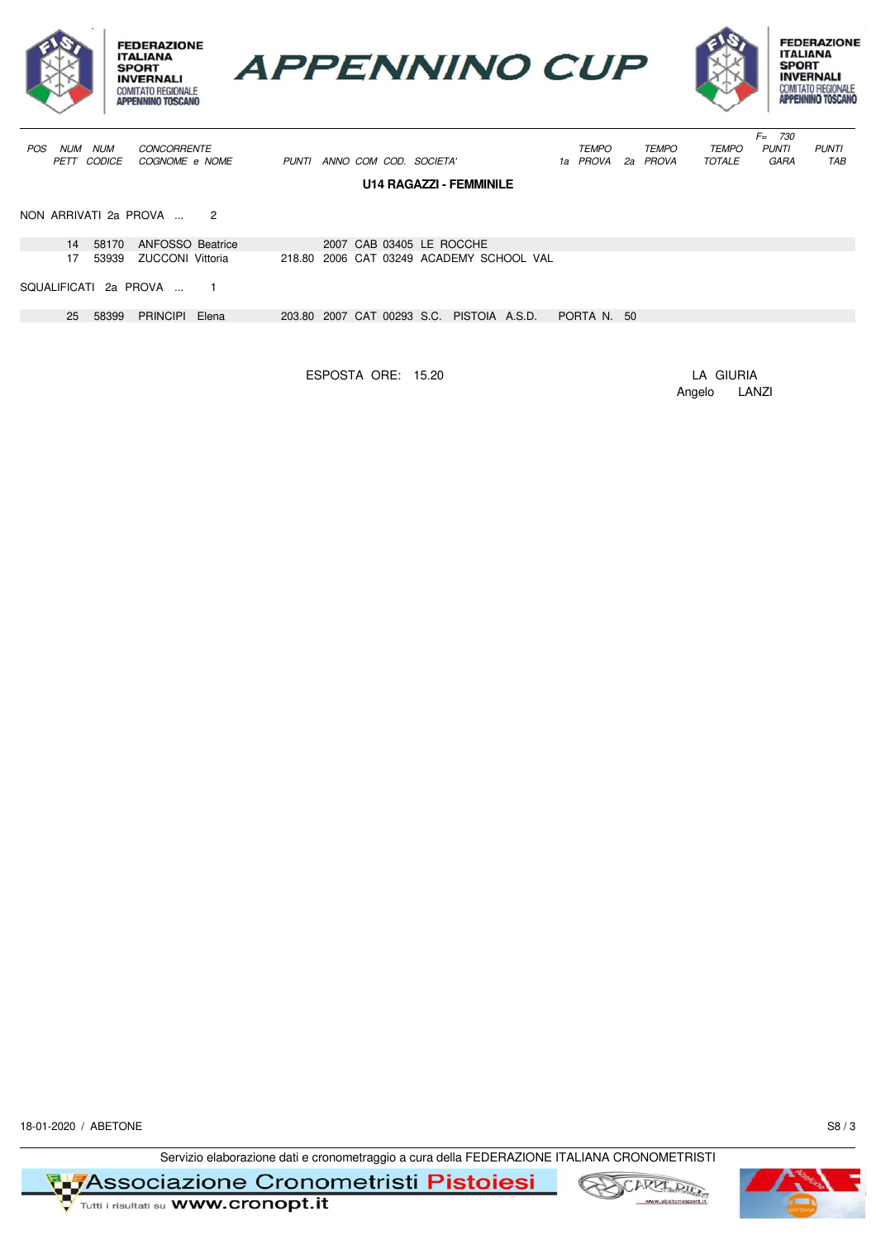





|            |             |                       |                       |       |       |                        |  |                                           |                                          |              |     |              |               | $F =$ | 730          |              |
|------------|-------------|-----------------------|-----------------------|-------|-------|------------------------|--|-------------------------------------------|------------------------------------------|--------------|-----|--------------|---------------|-------|--------------|--------------|
| <b>POS</b> | <b>NUM</b>  | <b>NUM</b>            | <b>CONCORRENTE</b>    |       |       |                        |  |                                           |                                          | <b>TEMPO</b> |     | <b>TEMPO</b> | <b>TEMPO</b>  |       | <b>PUNTI</b> | <b>PUNTI</b> |
|            | <b>PETT</b> | CODICE                | COGNOME e NOME        |       | PUNTI | ANNO COM COD. SOCIETA' |  |                                           |                                          | 1a PROVA     |     | 2a PROVA     | <b>TOTALE</b> |       | GARA         | TAB          |
|            |             |                       |                       |       |       |                        |  |                                           |                                          |              |     |              |               |       |              |              |
|            |             |                       |                       |       |       |                        |  | <b>U14 RAGAZZI - FEMMINILE</b>            |                                          |              |     |              |               |       |              |              |
|            |             |                       |                       |       |       |                        |  |                                           |                                          |              |     |              |               |       |              |              |
|            |             |                       | NON ARRIVATI 2a PROVA | 2     |       |                        |  |                                           |                                          |              |     |              |               |       |              |              |
|            |             |                       |                       |       |       |                        |  |                                           |                                          |              |     |              |               |       |              |              |
|            | 14          | 58170                 | ANFOSSO Beatrice      |       |       |                        |  | 2007 CAB 03405 LE ROCCHE                  |                                          |              |     |              |               |       |              |              |
|            | 17.         | 53939                 | ZUCCONI Vittoria      |       |       |                        |  |                                           | 218.80 2006 CAT 03249 ACADEMY SCHOOL VAL |              |     |              |               |       |              |              |
|            |             |                       |                       |       |       |                        |  |                                           |                                          |              |     |              |               |       |              |              |
|            |             | SQUALIFICATI 2a PROVA |                       |       |       |                        |  |                                           |                                          |              |     |              |               |       |              |              |
|            |             |                       |                       |       |       |                        |  |                                           |                                          |              |     |              |               |       |              |              |
|            | 25          | 58399                 | <b>PRINCIPI</b>       | Elena |       |                        |  | 203.80 2007 CAT 00293 S.C. PISTOIA A.S.D. |                                          | PORTA N.     | -50 |              |               |       |              |              |
|            |             |                       |                       |       |       |                        |  |                                           |                                          |              |     |              |               |       |              |              |
|            |             |                       |                       |       |       |                        |  |                                           |                                          |              |     |              |               |       |              |              |

ESPOSTA ORE: 15.20 LA GIURIA

Angelo LANZI

18-01-2020 / ABETONE S8 / 3

Servizio elaborazione dati e cronometraggio a cura della FEDERAZIONE ITALIANA CRONOMETRISTI

**RIZASSociazione Cronometristi Pistoiesi** 





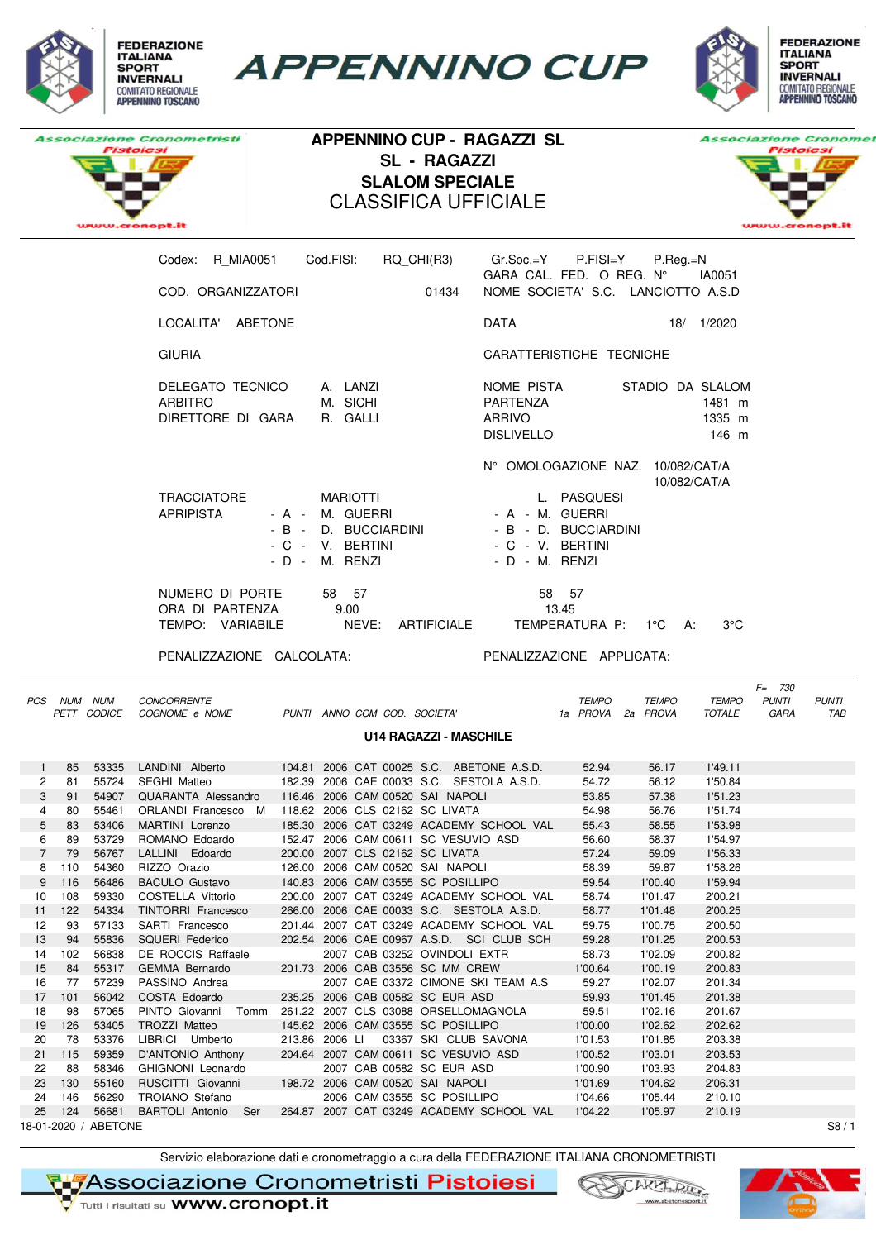

**APPENNINO CUP** 





**APPENNINO CUP - RAGAZZI SL SL - RAGAZZI SLALOM SPECIALE** CLASSIFICA UFFICIALE



| Cod.FISI:<br>RQ CHI(R3)<br>R MIA0051<br>Codex:                                                                                             | $Gr.Soc.=Y$ P.FISI=Y<br>$P_{\cdot}$ Reg $_{\cdot}$ =N<br>$GARA$ CAL. FED. O REG. $N^{\circ}$<br>IA0051                                            |
|--------------------------------------------------------------------------------------------------------------------------------------------|---------------------------------------------------------------------------------------------------------------------------------------------------|
| COD. ORGANIZZATORI<br>01434                                                                                                                | NOME SOCIETA' S.C. LANCIOTTO A.S.D                                                                                                                |
| LOCALITA' ABETONE                                                                                                                          | <b>DATA</b><br>1/2020<br>18/                                                                                                                      |
| <b>GIURIA</b>                                                                                                                              | CARATTERISTICHE TECNICHE                                                                                                                          |
| A. LANZI<br>DELEGATO TECNICO<br><b>ARBITRO</b><br>M. SICHI<br>DIRETTORE DI GARA<br>R. GALLI                                                | NOME PISTA<br>STADIO DA SLALOM<br><b>PARTENZA</b><br>1481 m<br><b>ARRIVO</b><br>1335 m<br><b>DISLIVELLO</b><br>146 m                              |
| <b>TRACCIATORE</b><br><b>MARIOTTI</b><br><b>APRIPISTA</b><br>- A - M. GUERRI<br>- B - D. BUCCIARDINI<br>- C - V. BERTINI<br>- D - M. RENZI | N° OMOLOGAZIONE NAZ. 10/082/CAT/A<br>10/082/CAT/A<br>L. PASQUESI<br>- A - M. GUERRI<br>- B - D. BUCCIARDINI<br>- C - V. BERTINI<br>- D - M. RENZI |
| NUMERO DI PORTE<br>58<br>57<br>ORA DI PARTENZA<br>9.00<br>NEVE:<br>TEMPO:<br>VARIABILE<br><b>ARTIFICIALE</b>                               | 58 57<br>13.45<br>TEMPERATURA P:<br>$3^{\circ}$ C<br>$1^{\circ}$ C<br>А:                                                                          |

PENALIZZAZIONE CALCOLATA: PENALIZZAZIONE APPLICATA:

|                | POS NUM NUM | PETT CODICE          | <b>CONCORRENTE</b><br>COGNOME e NOME                      |                |                                 | PUNTI ANNO COM COD. SOCIETA'              | <b>TEMPO</b><br>1a PROVA | <b>TEMPO</b><br>2a PROVA | <b>TEMPO</b><br><b>TOTALE</b> | $F = 730$<br><b>PUNTI</b><br><b>GARA</b> | <b>PUNTI</b><br>TAB |
|----------------|-------------|----------------------|-----------------------------------------------------------|----------------|---------------------------------|-------------------------------------------|--------------------------|--------------------------|-------------------------------|------------------------------------------|---------------------|
|                |             |                      |                                                           |                |                                 | <b>U14 RAGAZZI - MASCHILE</b>             |                          |                          |                               |                                          |                     |
| 1              | 85          | 53335                | LANDINI Alberto 104.81 2006 CAT 00025 S.C. ABETONE A.S.D. |                |                                 |                                           | 52.94                    | 56.17                    | 1'49.11                       |                                          |                     |
| $\overline{c}$ | 81          | 55724                | SEGHI Matteo                                              |                |                                 | 182.39 2006 CAE 00033 S.C. SESTOLA A.S.D. | 54.72                    | 56.12                    | 1'50.84                       |                                          |                     |
| 3              | 91          | 54907                | QUARANTA Alessandro                                       |                |                                 | 116.46 2006 CAM 00520 SAI NAPOLI          | 53.85                    | 57.38                    | 1'51.23                       |                                          |                     |
| 4              | 80          | 55461                | ORLANDI Francesco M                                       |                | 118.62 2006 CLS 02162 SC LIVATA |                                           | 54.98                    | 56.76                    | 1'51.74                       |                                          |                     |
| 5              | 83          | 53406                | MARTINI Lorenzo                                           |                |                                 | 185.30 2006 CAT 03249 ACADEMY SCHOOL VAL  | 55.43                    | 58.55                    | 1'53.98                       |                                          |                     |
| 6              | 89          | 53729                | ROMANO Edoardo                                            |                |                                 | 152.47 2006 CAM 00611 SC VESUVIO ASD      | 56.60                    | 58.37                    | 1'54.97                       |                                          |                     |
| $\overline{7}$ | 79          | 56767                | LALLINI Edoardo                                           |                |                                 | 200.00 2007 CLS 02162 SC LIVATA           | 57.24                    | 59.09                    | 1'56.33                       |                                          |                     |
| 8              | 110         | 54360                | RIZZO Orazio                                              |                |                                 | 126.00 2006 CAM 00520 SAI NAPOLI          | 58.39                    | 59.87                    | 1'58.26                       |                                          |                     |
| 9              | 116         | 56486                | <b>BACULO Gustavo</b>                                     |                |                                 | 140.83 2006 CAM 03555 SC POSILLIPO        | 59.54                    | 1'00.40                  | 1'59.94                       |                                          |                     |
| 10             | 108         | 59330                | COSTELLA Vittorio                                         |                |                                 | 200.00 2007 CAT 03249 ACADEMY SCHOOL VAL  | 58.74                    | 1'01.47                  | 2'00.21                       |                                          |                     |
| 11             | 122         | 54334                | TINTORRI Francesco                                        |                |                                 | 266.00 2006 CAE 00033 S.C. SESTOLA A.S.D. | 58.77                    | 1'01.48                  | 2'00.25                       |                                          |                     |
| 12             | 93          | 57133                | SARTI Francesco                                           |                |                                 | 201.44 2007 CAT 03249 ACADEMY SCHOOL VAL  | 59.75                    | 1'00.75                  | 2'00.50                       |                                          |                     |
| 13             | 94          | 55836                | SQUERI Federico                                           |                |                                 | 202.54 2006 CAE 00967 A.S.D. SCI CLUB SCH | 59.28                    | 1'01.25                  | 2'00.53                       |                                          |                     |
| 14             | 102         | 56838                | DE ROCCIS Raffaele                                        |                |                                 | 2007 CAB 03252 OVINDOLI EXTR              | 58.73                    | 1'02.09                  | 2'00.82                       |                                          |                     |
| 15             | 84          | 55317                | GEMMA Bernardo                                            |                |                                 | 201.73 2006 CAB 03556 SC MM CREW          | 1'00.64                  | 1'00.19                  | 2'00.83                       |                                          |                     |
| 16             | 77          | 57239                | PASSINO Andrea                                            |                |                                 | 2007 CAE 03372 CIMONE SKI TEAM A.S        | 59.27                    | 1'02.07                  | 2'01.34                       |                                          |                     |
| 17             | 101         | 56042                | COSTA Edoardo                                             |                |                                 | 235.25 2006 CAB 00582 SC EUR ASD          | 59.93                    | 1'01.45                  | 2'01.38                       |                                          |                     |
| 18             | 98          | 57065                | PINTO Giovanni Tomm                                       |                |                                 | 261.22 2007 CLS 03088 ORSELLOMAGNOLA      | 59.51                    | 1'02.16                  | 2'01.67                       |                                          |                     |
| 19             | 126         | 53405                | TROZZI Matteo                                             |                |                                 | 145.62 2006 CAM 03555 SC POSILLIPO        | 1'00.00                  | 1'02.62                  | 2'02.62                       |                                          |                     |
| 20             | 78          | 53376                | LIBRICI Umberto                                           | 213.86 2006 LI |                                 | 03367 SKI CLUB SAVONA                     | 1'01.53                  | 1'01.85                  | 2'03.38                       |                                          |                     |
| 21             | 115         | 59359                | D'ANTONIO Anthony                                         |                |                                 | 204.64 2007 CAM 00611 SC VESUVIO ASD      | 1'00.52                  | 1'03.01                  | 2'03.53                       |                                          |                     |
| 22             | 88          | 58346                | GHIGNONI Leonardo                                         |                |                                 | 2007 CAB 00582 SC EUR ASD                 | 1'00.90                  | 1'03.93                  | 2'04.83                       |                                          |                     |
| 23             | 130         | 55160                | RUSCITTI Giovanni 198.72 2006 CAM 00520 SAI NAPOLI        |                |                                 |                                           | 1'01.69                  | 1'04.62                  | 2'06.31                       |                                          |                     |
| 24             | 146         | 56290                | TROIANO Stefano                                           |                |                                 | 2006 CAM 03555 SC POSILLIPO               | 1'04.66                  | 1'05.44                  | 2'10.10                       |                                          |                     |
| 25             | 124         | 56681                | BARTOLI Antonio Ser                                       |                |                                 | 264.87 2007 CAT 03249 ACADEMY SCHOOL VAL  | 1'04.22                  | 1'05.97                  | 2'10.19                       |                                          |                     |
|                |             | 18-01-2020 / ABETONE |                                                           |                |                                 |                                           |                          |                          |                               |                                          | S8/1                |

Servizio elaborazione dati e cronometraggio a cura della FEDERAZIONE ITALIANA CRONOMETRISTI

**TIFAssociazione Cronometristi Pistoiesi** 



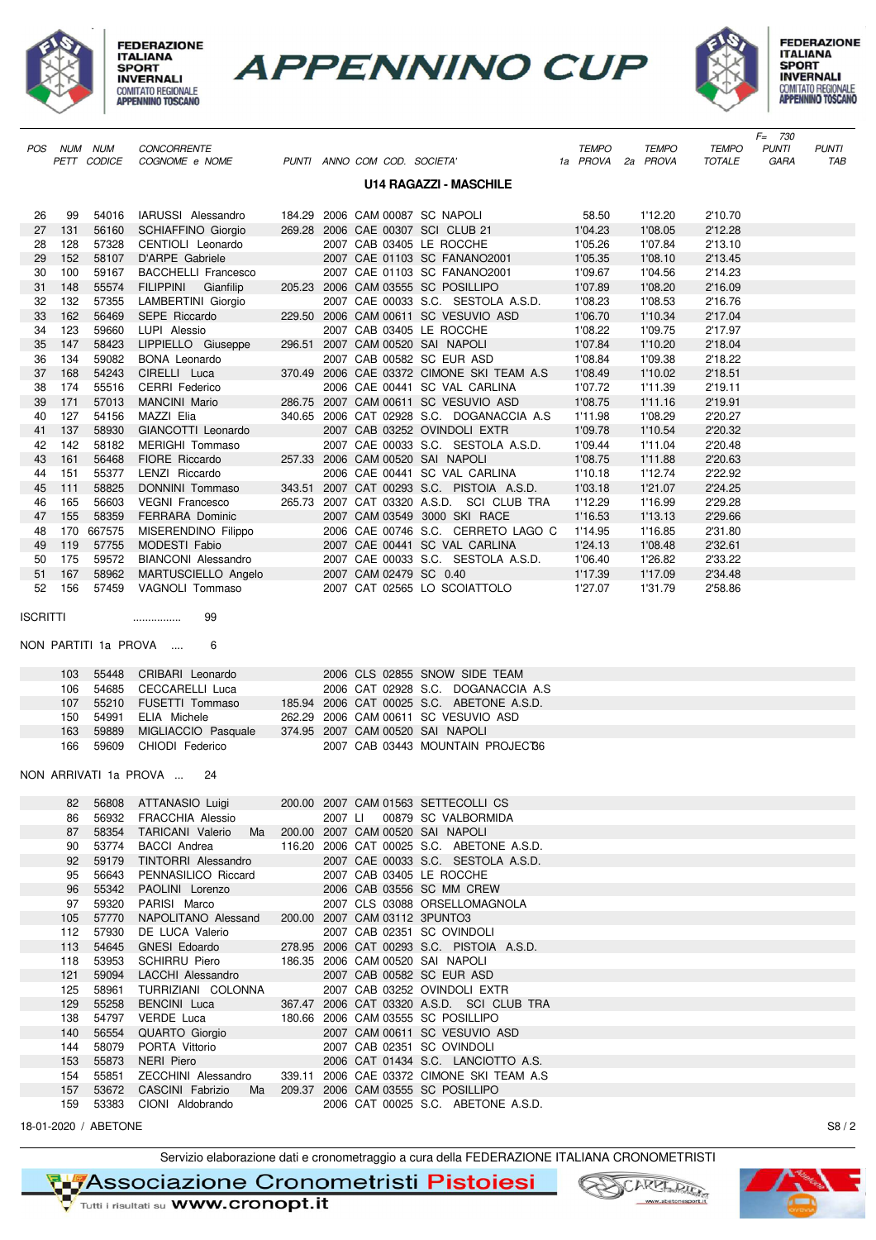

**FEDERAZIONE ITALIANA INVERNALI** COMITATO REGIONALE<br>APPENNINO TOSCANO





| CONCORRENTE<br><b>TEMPO</b><br><b>TEMPO</b><br><b>PUNTI</b><br><b>PUNTI</b><br>POS NUM NUM<br><b>TEMPO</b><br>PETT CODICE<br>PUNTI ANNO COM COD. SOCIETA'<br>1a PROVA 2a PROVA<br>COGNOME e NOME<br>TOTALE<br>GARA<br>TAB<br><b>U14 RAGAZZI - MASCHILE</b><br>54016<br>IARUSSI Alessandro<br>184.29 2006 CAM 00087 SC NAPOLI<br>58.50<br>1'12.20<br>2'10.70<br>26<br>99<br>27<br>131<br>56160<br>269.28 2006 CAE 00307 SCI CLUB 21<br>1'04.23<br>1'08.05<br>2'12.28<br><b>SCHIAFFINO Giorgio</b><br>128<br>2007 CAB 03405 LE ROCCHE<br>1'05.26<br>1'07.84<br>28<br>57328<br>CENTIOLI Leonardo<br>2'13.10<br>29<br>152<br>58107<br>D'ARPE Gabriele<br>2007 CAE 01103 SC FANANO2001<br>1'05.35<br>1'08.10<br>2'13.45<br>30<br>100<br>59167<br>2007 CAE 01103 SC FANANO2001<br>1'09.67<br>1'04.56<br>2'14.23<br><b>BACCHELLI Francesco</b><br>205.23 2006 CAM 03555 SC POSILLIPO<br>1'07.89<br>1'08.20<br>31<br>148<br>55574<br><b>FILIPPINI</b><br>2'16.09<br>Gianfilip<br>32<br>132<br>2007 CAE 00033 S.C. SESTOLA A.S.D.<br>57355<br>LAMBERTINI Giorgio<br>1'08.23<br>1'08.53<br>2'16.76<br>162<br>56469<br>SEPE Riccardo<br>229.50 2006 CAM 00611 SC VESUVIO ASD<br>1'10.34<br>33<br>1'06.70<br>2'17.04<br>123<br>59660<br>2007 CAB 03405 LE ROCCHE<br>1'08.22<br>34<br>LUPI Alessio<br>1'09.75<br>2'17.97<br>147<br>58423<br>296.51 2007 CAM 00520 SAI NAPOLI<br>1'07.84<br>1'10.20<br>2'18.04<br>35<br>LIPPIELLO Giuseppe<br>36<br>134<br>59082<br>2007 CAB 00582 SC EUR ASD<br>1'08.84<br>1'09.38<br>2'18.22<br>BONA Leonardo<br>37<br>168<br>54243<br>CIRELLI Luca<br>370.49 2006 CAE 03372 CIMONE SKI TEAM A.S<br>1'08.49<br>1'10.02<br>2'18.51<br>38<br>174<br>55516<br>CERRI Federico<br>2006 CAE 00441 SC VAL CARLINA<br>1'07.72<br>1'11.39<br>2'19.11<br>39<br>171<br>57013<br>286.75 2007 CAM 00611 SC VESUVIO ASD<br>1'08.75<br>2'19.91<br><b>MANCINI Mario</b><br>1'11.16<br>127<br>340.65 2006 CAT 02928 S.C. DOGANACCIA A.S<br>40<br>54156<br>MAZZI Elia<br>1'11.98<br>1'08.29<br>2'20.27<br>41<br>137<br>58930<br>GIANCOTTI Leonardo<br>2007 CAB 03252 OVINDOLI EXTR<br>1'09.78<br>1'10.54<br>2'20.32<br>142<br>2007 CAE 00033 S.C. SESTOLA A.S.D.<br>42<br>58182<br>MERIGHI Tommaso<br>1'09.44<br>1'11.04<br>2'20.48<br>43<br>161<br>56468<br>FIORE Riccardo<br>257.33 2006 CAM 00520 SAI NAPOLI<br>1'08.75<br>2'20.63<br>1'11.88<br>151<br>55377<br>LENZI Riccardo<br>2006 CAE 00441 SC VAL CARLINA<br>1'10.18<br>1'12.74<br>2'22.92<br>44<br>45<br>111<br>58825<br>DONNINI Tommaso<br>343.51 2007 CAT 00293 S.C. PISTOIA A.S.D.<br>1'03.18<br>1'21.07<br>2'24.25<br>165<br>56603<br>265.73 2007 CAT 03320 A.S.D. SCI CLUB TRA<br>1'12.29<br>2'29.28<br>46<br><b>VEGNI Francesco</b><br>1'16.99<br>155<br>58359<br><b>FERRARA Dominic</b><br>2007 CAM 03549 3000 SKI RACE<br>1'16.53<br>1'13.13<br>2'29.66<br>47<br>2006 CAE 00746 S.C. CERRETO LAGO C<br>170<br>667575<br>1'14.95<br>1'16.85<br>2'31.80<br>48<br>MISERENDINO Filippo<br>49<br>57755<br>2007 CAE 00441 SC VAL CARLINA<br>1'08.48<br>2'32.61<br>119<br>MODESTI Fabio<br>1'24.13<br>175<br>59572<br><b>BIANCONI Alessandro</b><br>2007 CAE 00033 S.C. SESTOLA A.S.D.<br>1'26.82<br>2'33.22<br>50<br>1'06.40<br>51<br>167<br>58962<br>2007 CAM 02479 SC 0.40<br>1'17.39<br>1'17.09<br>2'34.48<br>MARTUSCIELLO Angelo<br>156<br>57459<br>2007 CAT 02565 LO SCOIATTOLO<br>52<br>VAGNOLI Tommaso<br>1'27.07<br>1'31.79<br>2'58.86<br><b>ISCRITTI</b><br>99<br><br>NON PARTITI 1a PROVA<br>6<br>55448<br>CRIBARI Leonardo<br>2006 CLS 02855 SNOW SIDE TEAM<br>103<br>2006 CAT 02928 S.C. DOGANACCIA A.S<br>106<br>54685<br>CECCARELLI Luca<br>185.94 2006 CAT 00025 S.C. ABETONE A.S.D.<br>107<br>55210<br>FUSETTI Tommaso<br>54991<br>ELIA Michele<br>262.29 2006 CAM 00611 SC VESUVIO ASD<br>150<br>163<br>59889<br>MIGLIACCIO Pasquale<br>374.95 2007 CAM 00520 SAI NAPOLI<br>166<br>59609<br>CHIODI Federico<br>2007 CAB 03443 MOUNTAIN PROJECT86<br>NON ARRIVATI 1a PROVA<br>24<br>200.00 2007 CAM 01563 SETTECOLLI CS<br>82<br>56808<br>ATTANASIO Luigi<br>00879 SC VALBORMIDA<br>86<br>56932<br><b>FRACCHIA Alessio</b><br>2007 LI<br>87<br>58354<br>Ma<br>200.00 2007 CAM 00520 SAI NAPOLI<br><b>TARICANI Valerio</b><br>116.20 2006 CAT 00025 S.C. ABETONE A.S.D.<br>90<br>53774<br><b>BACCI</b> Andrea<br>92<br>59179<br>TINTORRI Alessandro<br>2007 CAE 00033 S.C. SESTOLA A.S.D.<br>95<br>56643<br>PENNASILICO Riccard<br>2007 CAB 03405 LE ROCCHE |  |  |  |  |  | $F = 730$ |  |
|-------------------------------------------------------------------------------------------------------------------------------------------------------------------------------------------------------------------------------------------------------------------------------------------------------------------------------------------------------------------------------------------------------------------------------------------------------------------------------------------------------------------------------------------------------------------------------------------------------------------------------------------------------------------------------------------------------------------------------------------------------------------------------------------------------------------------------------------------------------------------------------------------------------------------------------------------------------------------------------------------------------------------------------------------------------------------------------------------------------------------------------------------------------------------------------------------------------------------------------------------------------------------------------------------------------------------------------------------------------------------------------------------------------------------------------------------------------------------------------------------------------------------------------------------------------------------------------------------------------------------------------------------------------------------------------------------------------------------------------------------------------------------------------------------------------------------------------------------------------------------------------------------------------------------------------------------------------------------------------------------------------------------------------------------------------------------------------------------------------------------------------------------------------------------------------------------------------------------------------------------------------------------------------------------------------------------------------------------------------------------------------------------------------------------------------------------------------------------------------------------------------------------------------------------------------------------------------------------------------------------------------------------------------------------------------------------------------------------------------------------------------------------------------------------------------------------------------------------------------------------------------------------------------------------------------------------------------------------------------------------------------------------------------------------------------------------------------------------------------------------------------------------------------------------------------------------------------------------------------------------------------------------------------------------------------------------------------------------------------------------------------------------------------------------------------------------------------------------------------------------------------------------------------------------------------------------------------------------------------------------------------------------------------------------------------------------------------------------------------------------------------------------------------------------------------------------------------------------------------------------------------------------------------------------------------------------------------------------------------------------------------------------------------------------------------------------------------------------------------------------------------------------------------------------------------------------------------------------------------------------------------------------------------------------------------------------------------------------------------------------------------------------------------------------------------------|--|--|--|--|--|-----------|--|
|                                                                                                                                                                                                                                                                                                                                                                                                                                                                                                                                                                                                                                                                                                                                                                                                                                                                                                                                                                                                                                                                                                                                                                                                                                                                                                                                                                                                                                                                                                                                                                                                                                                                                                                                                                                                                                                                                                                                                                                                                                                                                                                                                                                                                                                                                                                                                                                                                                                                                                                                                                                                                                                                                                                                                                                                                                                                                                                                                                                                                                                                                                                                                                                                                                                                                                                                                                                                                                                                                                                                                                                                                                                                                                                                                                                                                                                                                                                                                                                                                                                                                                                                                                                                                                                                                                                                                                                                                                           |  |  |  |  |  |           |  |
|                                                                                                                                                                                                                                                                                                                                                                                                                                                                                                                                                                                                                                                                                                                                                                                                                                                                                                                                                                                                                                                                                                                                                                                                                                                                                                                                                                                                                                                                                                                                                                                                                                                                                                                                                                                                                                                                                                                                                                                                                                                                                                                                                                                                                                                                                                                                                                                                                                                                                                                                                                                                                                                                                                                                                                                                                                                                                                                                                                                                                                                                                                                                                                                                                                                                                                                                                                                                                                                                                                                                                                                                                                                                                                                                                                                                                                                                                                                                                                                                                                                                                                                                                                                                                                                                                                                                                                                                                                           |  |  |  |  |  |           |  |
|                                                                                                                                                                                                                                                                                                                                                                                                                                                                                                                                                                                                                                                                                                                                                                                                                                                                                                                                                                                                                                                                                                                                                                                                                                                                                                                                                                                                                                                                                                                                                                                                                                                                                                                                                                                                                                                                                                                                                                                                                                                                                                                                                                                                                                                                                                                                                                                                                                                                                                                                                                                                                                                                                                                                                                                                                                                                                                                                                                                                                                                                                                                                                                                                                                                                                                                                                                                                                                                                                                                                                                                                                                                                                                                                                                                                                                                                                                                                                                                                                                                                                                                                                                                                                                                                                                                                                                                                                                           |  |  |  |  |  |           |  |
|                                                                                                                                                                                                                                                                                                                                                                                                                                                                                                                                                                                                                                                                                                                                                                                                                                                                                                                                                                                                                                                                                                                                                                                                                                                                                                                                                                                                                                                                                                                                                                                                                                                                                                                                                                                                                                                                                                                                                                                                                                                                                                                                                                                                                                                                                                                                                                                                                                                                                                                                                                                                                                                                                                                                                                                                                                                                                                                                                                                                                                                                                                                                                                                                                                                                                                                                                                                                                                                                                                                                                                                                                                                                                                                                                                                                                                                                                                                                                                                                                                                                                                                                                                                                                                                                                                                                                                                                                                           |  |  |  |  |  |           |  |
|                                                                                                                                                                                                                                                                                                                                                                                                                                                                                                                                                                                                                                                                                                                                                                                                                                                                                                                                                                                                                                                                                                                                                                                                                                                                                                                                                                                                                                                                                                                                                                                                                                                                                                                                                                                                                                                                                                                                                                                                                                                                                                                                                                                                                                                                                                                                                                                                                                                                                                                                                                                                                                                                                                                                                                                                                                                                                                                                                                                                                                                                                                                                                                                                                                                                                                                                                                                                                                                                                                                                                                                                                                                                                                                                                                                                                                                                                                                                                                                                                                                                                                                                                                                                                                                                                                                                                                                                                                           |  |  |  |  |  |           |  |
|                                                                                                                                                                                                                                                                                                                                                                                                                                                                                                                                                                                                                                                                                                                                                                                                                                                                                                                                                                                                                                                                                                                                                                                                                                                                                                                                                                                                                                                                                                                                                                                                                                                                                                                                                                                                                                                                                                                                                                                                                                                                                                                                                                                                                                                                                                                                                                                                                                                                                                                                                                                                                                                                                                                                                                                                                                                                                                                                                                                                                                                                                                                                                                                                                                                                                                                                                                                                                                                                                                                                                                                                                                                                                                                                                                                                                                                                                                                                                                                                                                                                                                                                                                                                                                                                                                                                                                                                                                           |  |  |  |  |  |           |  |
|                                                                                                                                                                                                                                                                                                                                                                                                                                                                                                                                                                                                                                                                                                                                                                                                                                                                                                                                                                                                                                                                                                                                                                                                                                                                                                                                                                                                                                                                                                                                                                                                                                                                                                                                                                                                                                                                                                                                                                                                                                                                                                                                                                                                                                                                                                                                                                                                                                                                                                                                                                                                                                                                                                                                                                                                                                                                                                                                                                                                                                                                                                                                                                                                                                                                                                                                                                                                                                                                                                                                                                                                                                                                                                                                                                                                                                                                                                                                                                                                                                                                                                                                                                                                                                                                                                                                                                                                                                           |  |  |  |  |  |           |  |
|                                                                                                                                                                                                                                                                                                                                                                                                                                                                                                                                                                                                                                                                                                                                                                                                                                                                                                                                                                                                                                                                                                                                                                                                                                                                                                                                                                                                                                                                                                                                                                                                                                                                                                                                                                                                                                                                                                                                                                                                                                                                                                                                                                                                                                                                                                                                                                                                                                                                                                                                                                                                                                                                                                                                                                                                                                                                                                                                                                                                                                                                                                                                                                                                                                                                                                                                                                                                                                                                                                                                                                                                                                                                                                                                                                                                                                                                                                                                                                                                                                                                                                                                                                                                                                                                                                                                                                                                                                           |  |  |  |  |  |           |  |
|                                                                                                                                                                                                                                                                                                                                                                                                                                                                                                                                                                                                                                                                                                                                                                                                                                                                                                                                                                                                                                                                                                                                                                                                                                                                                                                                                                                                                                                                                                                                                                                                                                                                                                                                                                                                                                                                                                                                                                                                                                                                                                                                                                                                                                                                                                                                                                                                                                                                                                                                                                                                                                                                                                                                                                                                                                                                                                                                                                                                                                                                                                                                                                                                                                                                                                                                                                                                                                                                                                                                                                                                                                                                                                                                                                                                                                                                                                                                                                                                                                                                                                                                                                                                                                                                                                                                                                                                                                           |  |  |  |  |  |           |  |
|                                                                                                                                                                                                                                                                                                                                                                                                                                                                                                                                                                                                                                                                                                                                                                                                                                                                                                                                                                                                                                                                                                                                                                                                                                                                                                                                                                                                                                                                                                                                                                                                                                                                                                                                                                                                                                                                                                                                                                                                                                                                                                                                                                                                                                                                                                                                                                                                                                                                                                                                                                                                                                                                                                                                                                                                                                                                                                                                                                                                                                                                                                                                                                                                                                                                                                                                                                                                                                                                                                                                                                                                                                                                                                                                                                                                                                                                                                                                                                                                                                                                                                                                                                                                                                                                                                                                                                                                                                           |  |  |  |  |  |           |  |
|                                                                                                                                                                                                                                                                                                                                                                                                                                                                                                                                                                                                                                                                                                                                                                                                                                                                                                                                                                                                                                                                                                                                                                                                                                                                                                                                                                                                                                                                                                                                                                                                                                                                                                                                                                                                                                                                                                                                                                                                                                                                                                                                                                                                                                                                                                                                                                                                                                                                                                                                                                                                                                                                                                                                                                                                                                                                                                                                                                                                                                                                                                                                                                                                                                                                                                                                                                                                                                                                                                                                                                                                                                                                                                                                                                                                                                                                                                                                                                                                                                                                                                                                                                                                                                                                                                                                                                                                                                           |  |  |  |  |  |           |  |
|                                                                                                                                                                                                                                                                                                                                                                                                                                                                                                                                                                                                                                                                                                                                                                                                                                                                                                                                                                                                                                                                                                                                                                                                                                                                                                                                                                                                                                                                                                                                                                                                                                                                                                                                                                                                                                                                                                                                                                                                                                                                                                                                                                                                                                                                                                                                                                                                                                                                                                                                                                                                                                                                                                                                                                                                                                                                                                                                                                                                                                                                                                                                                                                                                                                                                                                                                                                                                                                                                                                                                                                                                                                                                                                                                                                                                                                                                                                                                                                                                                                                                                                                                                                                                                                                                                                                                                                                                                           |  |  |  |  |  |           |  |
|                                                                                                                                                                                                                                                                                                                                                                                                                                                                                                                                                                                                                                                                                                                                                                                                                                                                                                                                                                                                                                                                                                                                                                                                                                                                                                                                                                                                                                                                                                                                                                                                                                                                                                                                                                                                                                                                                                                                                                                                                                                                                                                                                                                                                                                                                                                                                                                                                                                                                                                                                                                                                                                                                                                                                                                                                                                                                                                                                                                                                                                                                                                                                                                                                                                                                                                                                                                                                                                                                                                                                                                                                                                                                                                                                                                                                                                                                                                                                                                                                                                                                                                                                                                                                                                                                                                                                                                                                                           |  |  |  |  |  |           |  |
|                                                                                                                                                                                                                                                                                                                                                                                                                                                                                                                                                                                                                                                                                                                                                                                                                                                                                                                                                                                                                                                                                                                                                                                                                                                                                                                                                                                                                                                                                                                                                                                                                                                                                                                                                                                                                                                                                                                                                                                                                                                                                                                                                                                                                                                                                                                                                                                                                                                                                                                                                                                                                                                                                                                                                                                                                                                                                                                                                                                                                                                                                                                                                                                                                                                                                                                                                                                                                                                                                                                                                                                                                                                                                                                                                                                                                                                                                                                                                                                                                                                                                                                                                                                                                                                                                                                                                                                                                                           |  |  |  |  |  |           |  |
|                                                                                                                                                                                                                                                                                                                                                                                                                                                                                                                                                                                                                                                                                                                                                                                                                                                                                                                                                                                                                                                                                                                                                                                                                                                                                                                                                                                                                                                                                                                                                                                                                                                                                                                                                                                                                                                                                                                                                                                                                                                                                                                                                                                                                                                                                                                                                                                                                                                                                                                                                                                                                                                                                                                                                                                                                                                                                                                                                                                                                                                                                                                                                                                                                                                                                                                                                                                                                                                                                                                                                                                                                                                                                                                                                                                                                                                                                                                                                                                                                                                                                                                                                                                                                                                                                                                                                                                                                                           |  |  |  |  |  |           |  |
|                                                                                                                                                                                                                                                                                                                                                                                                                                                                                                                                                                                                                                                                                                                                                                                                                                                                                                                                                                                                                                                                                                                                                                                                                                                                                                                                                                                                                                                                                                                                                                                                                                                                                                                                                                                                                                                                                                                                                                                                                                                                                                                                                                                                                                                                                                                                                                                                                                                                                                                                                                                                                                                                                                                                                                                                                                                                                                                                                                                                                                                                                                                                                                                                                                                                                                                                                                                                                                                                                                                                                                                                                                                                                                                                                                                                                                                                                                                                                                                                                                                                                                                                                                                                                                                                                                                                                                                                                                           |  |  |  |  |  |           |  |
|                                                                                                                                                                                                                                                                                                                                                                                                                                                                                                                                                                                                                                                                                                                                                                                                                                                                                                                                                                                                                                                                                                                                                                                                                                                                                                                                                                                                                                                                                                                                                                                                                                                                                                                                                                                                                                                                                                                                                                                                                                                                                                                                                                                                                                                                                                                                                                                                                                                                                                                                                                                                                                                                                                                                                                                                                                                                                                                                                                                                                                                                                                                                                                                                                                                                                                                                                                                                                                                                                                                                                                                                                                                                                                                                                                                                                                                                                                                                                                                                                                                                                                                                                                                                                                                                                                                                                                                                                                           |  |  |  |  |  |           |  |
|                                                                                                                                                                                                                                                                                                                                                                                                                                                                                                                                                                                                                                                                                                                                                                                                                                                                                                                                                                                                                                                                                                                                                                                                                                                                                                                                                                                                                                                                                                                                                                                                                                                                                                                                                                                                                                                                                                                                                                                                                                                                                                                                                                                                                                                                                                                                                                                                                                                                                                                                                                                                                                                                                                                                                                                                                                                                                                                                                                                                                                                                                                                                                                                                                                                                                                                                                                                                                                                                                                                                                                                                                                                                                                                                                                                                                                                                                                                                                                                                                                                                                                                                                                                                                                                                                                                                                                                                                                           |  |  |  |  |  |           |  |
|                                                                                                                                                                                                                                                                                                                                                                                                                                                                                                                                                                                                                                                                                                                                                                                                                                                                                                                                                                                                                                                                                                                                                                                                                                                                                                                                                                                                                                                                                                                                                                                                                                                                                                                                                                                                                                                                                                                                                                                                                                                                                                                                                                                                                                                                                                                                                                                                                                                                                                                                                                                                                                                                                                                                                                                                                                                                                                                                                                                                                                                                                                                                                                                                                                                                                                                                                                                                                                                                                                                                                                                                                                                                                                                                                                                                                                                                                                                                                                                                                                                                                                                                                                                                                                                                                                                                                                                                                                           |  |  |  |  |  |           |  |
|                                                                                                                                                                                                                                                                                                                                                                                                                                                                                                                                                                                                                                                                                                                                                                                                                                                                                                                                                                                                                                                                                                                                                                                                                                                                                                                                                                                                                                                                                                                                                                                                                                                                                                                                                                                                                                                                                                                                                                                                                                                                                                                                                                                                                                                                                                                                                                                                                                                                                                                                                                                                                                                                                                                                                                                                                                                                                                                                                                                                                                                                                                                                                                                                                                                                                                                                                                                                                                                                                                                                                                                                                                                                                                                                                                                                                                                                                                                                                                                                                                                                                                                                                                                                                                                                                                                                                                                                                                           |  |  |  |  |  |           |  |
|                                                                                                                                                                                                                                                                                                                                                                                                                                                                                                                                                                                                                                                                                                                                                                                                                                                                                                                                                                                                                                                                                                                                                                                                                                                                                                                                                                                                                                                                                                                                                                                                                                                                                                                                                                                                                                                                                                                                                                                                                                                                                                                                                                                                                                                                                                                                                                                                                                                                                                                                                                                                                                                                                                                                                                                                                                                                                                                                                                                                                                                                                                                                                                                                                                                                                                                                                                                                                                                                                                                                                                                                                                                                                                                                                                                                                                                                                                                                                                                                                                                                                                                                                                                                                                                                                                                                                                                                                                           |  |  |  |  |  |           |  |
|                                                                                                                                                                                                                                                                                                                                                                                                                                                                                                                                                                                                                                                                                                                                                                                                                                                                                                                                                                                                                                                                                                                                                                                                                                                                                                                                                                                                                                                                                                                                                                                                                                                                                                                                                                                                                                                                                                                                                                                                                                                                                                                                                                                                                                                                                                                                                                                                                                                                                                                                                                                                                                                                                                                                                                                                                                                                                                                                                                                                                                                                                                                                                                                                                                                                                                                                                                                                                                                                                                                                                                                                                                                                                                                                                                                                                                                                                                                                                                                                                                                                                                                                                                                                                                                                                                                                                                                                                                           |  |  |  |  |  |           |  |
|                                                                                                                                                                                                                                                                                                                                                                                                                                                                                                                                                                                                                                                                                                                                                                                                                                                                                                                                                                                                                                                                                                                                                                                                                                                                                                                                                                                                                                                                                                                                                                                                                                                                                                                                                                                                                                                                                                                                                                                                                                                                                                                                                                                                                                                                                                                                                                                                                                                                                                                                                                                                                                                                                                                                                                                                                                                                                                                                                                                                                                                                                                                                                                                                                                                                                                                                                                                                                                                                                                                                                                                                                                                                                                                                                                                                                                                                                                                                                                                                                                                                                                                                                                                                                                                                                                                                                                                                                                           |  |  |  |  |  |           |  |
|                                                                                                                                                                                                                                                                                                                                                                                                                                                                                                                                                                                                                                                                                                                                                                                                                                                                                                                                                                                                                                                                                                                                                                                                                                                                                                                                                                                                                                                                                                                                                                                                                                                                                                                                                                                                                                                                                                                                                                                                                                                                                                                                                                                                                                                                                                                                                                                                                                                                                                                                                                                                                                                                                                                                                                                                                                                                                                                                                                                                                                                                                                                                                                                                                                                                                                                                                                                                                                                                                                                                                                                                                                                                                                                                                                                                                                                                                                                                                                                                                                                                                                                                                                                                                                                                                                                                                                                                                                           |  |  |  |  |  |           |  |
|                                                                                                                                                                                                                                                                                                                                                                                                                                                                                                                                                                                                                                                                                                                                                                                                                                                                                                                                                                                                                                                                                                                                                                                                                                                                                                                                                                                                                                                                                                                                                                                                                                                                                                                                                                                                                                                                                                                                                                                                                                                                                                                                                                                                                                                                                                                                                                                                                                                                                                                                                                                                                                                                                                                                                                                                                                                                                                                                                                                                                                                                                                                                                                                                                                                                                                                                                                                                                                                                                                                                                                                                                                                                                                                                                                                                                                                                                                                                                                                                                                                                                                                                                                                                                                                                                                                                                                                                                                           |  |  |  |  |  |           |  |
|                                                                                                                                                                                                                                                                                                                                                                                                                                                                                                                                                                                                                                                                                                                                                                                                                                                                                                                                                                                                                                                                                                                                                                                                                                                                                                                                                                                                                                                                                                                                                                                                                                                                                                                                                                                                                                                                                                                                                                                                                                                                                                                                                                                                                                                                                                                                                                                                                                                                                                                                                                                                                                                                                                                                                                                                                                                                                                                                                                                                                                                                                                                                                                                                                                                                                                                                                                                                                                                                                                                                                                                                                                                                                                                                                                                                                                                                                                                                                                                                                                                                                                                                                                                                                                                                                                                                                                                                                                           |  |  |  |  |  |           |  |
|                                                                                                                                                                                                                                                                                                                                                                                                                                                                                                                                                                                                                                                                                                                                                                                                                                                                                                                                                                                                                                                                                                                                                                                                                                                                                                                                                                                                                                                                                                                                                                                                                                                                                                                                                                                                                                                                                                                                                                                                                                                                                                                                                                                                                                                                                                                                                                                                                                                                                                                                                                                                                                                                                                                                                                                                                                                                                                                                                                                                                                                                                                                                                                                                                                                                                                                                                                                                                                                                                                                                                                                                                                                                                                                                                                                                                                                                                                                                                                                                                                                                                                                                                                                                                                                                                                                                                                                                                                           |  |  |  |  |  |           |  |
|                                                                                                                                                                                                                                                                                                                                                                                                                                                                                                                                                                                                                                                                                                                                                                                                                                                                                                                                                                                                                                                                                                                                                                                                                                                                                                                                                                                                                                                                                                                                                                                                                                                                                                                                                                                                                                                                                                                                                                                                                                                                                                                                                                                                                                                                                                                                                                                                                                                                                                                                                                                                                                                                                                                                                                                                                                                                                                                                                                                                                                                                                                                                                                                                                                                                                                                                                                                                                                                                                                                                                                                                                                                                                                                                                                                                                                                                                                                                                                                                                                                                                                                                                                                                                                                                                                                                                                                                                                           |  |  |  |  |  |           |  |
|                                                                                                                                                                                                                                                                                                                                                                                                                                                                                                                                                                                                                                                                                                                                                                                                                                                                                                                                                                                                                                                                                                                                                                                                                                                                                                                                                                                                                                                                                                                                                                                                                                                                                                                                                                                                                                                                                                                                                                                                                                                                                                                                                                                                                                                                                                                                                                                                                                                                                                                                                                                                                                                                                                                                                                                                                                                                                                                                                                                                                                                                                                                                                                                                                                                                                                                                                                                                                                                                                                                                                                                                                                                                                                                                                                                                                                                                                                                                                                                                                                                                                                                                                                                                                                                                                                                                                                                                                                           |  |  |  |  |  |           |  |
|                                                                                                                                                                                                                                                                                                                                                                                                                                                                                                                                                                                                                                                                                                                                                                                                                                                                                                                                                                                                                                                                                                                                                                                                                                                                                                                                                                                                                                                                                                                                                                                                                                                                                                                                                                                                                                                                                                                                                                                                                                                                                                                                                                                                                                                                                                                                                                                                                                                                                                                                                                                                                                                                                                                                                                                                                                                                                                                                                                                                                                                                                                                                                                                                                                                                                                                                                                                                                                                                                                                                                                                                                                                                                                                                                                                                                                                                                                                                                                                                                                                                                                                                                                                                                                                                                                                                                                                                                                           |  |  |  |  |  |           |  |
|                                                                                                                                                                                                                                                                                                                                                                                                                                                                                                                                                                                                                                                                                                                                                                                                                                                                                                                                                                                                                                                                                                                                                                                                                                                                                                                                                                                                                                                                                                                                                                                                                                                                                                                                                                                                                                                                                                                                                                                                                                                                                                                                                                                                                                                                                                                                                                                                                                                                                                                                                                                                                                                                                                                                                                                                                                                                                                                                                                                                                                                                                                                                                                                                                                                                                                                                                                                                                                                                                                                                                                                                                                                                                                                                                                                                                                                                                                                                                                                                                                                                                                                                                                                                                                                                                                                                                                                                                                           |  |  |  |  |  |           |  |
|                                                                                                                                                                                                                                                                                                                                                                                                                                                                                                                                                                                                                                                                                                                                                                                                                                                                                                                                                                                                                                                                                                                                                                                                                                                                                                                                                                                                                                                                                                                                                                                                                                                                                                                                                                                                                                                                                                                                                                                                                                                                                                                                                                                                                                                                                                                                                                                                                                                                                                                                                                                                                                                                                                                                                                                                                                                                                                                                                                                                                                                                                                                                                                                                                                                                                                                                                                                                                                                                                                                                                                                                                                                                                                                                                                                                                                                                                                                                                                                                                                                                                                                                                                                                                                                                                                                                                                                                                                           |  |  |  |  |  |           |  |
|                                                                                                                                                                                                                                                                                                                                                                                                                                                                                                                                                                                                                                                                                                                                                                                                                                                                                                                                                                                                                                                                                                                                                                                                                                                                                                                                                                                                                                                                                                                                                                                                                                                                                                                                                                                                                                                                                                                                                                                                                                                                                                                                                                                                                                                                                                                                                                                                                                                                                                                                                                                                                                                                                                                                                                                                                                                                                                                                                                                                                                                                                                                                                                                                                                                                                                                                                                                                                                                                                                                                                                                                                                                                                                                                                                                                                                                                                                                                                                                                                                                                                                                                                                                                                                                                                                                                                                                                                                           |  |  |  |  |  |           |  |
|                                                                                                                                                                                                                                                                                                                                                                                                                                                                                                                                                                                                                                                                                                                                                                                                                                                                                                                                                                                                                                                                                                                                                                                                                                                                                                                                                                                                                                                                                                                                                                                                                                                                                                                                                                                                                                                                                                                                                                                                                                                                                                                                                                                                                                                                                                                                                                                                                                                                                                                                                                                                                                                                                                                                                                                                                                                                                                                                                                                                                                                                                                                                                                                                                                                                                                                                                                                                                                                                                                                                                                                                                                                                                                                                                                                                                                                                                                                                                                                                                                                                                                                                                                                                                                                                                                                                                                                                                                           |  |  |  |  |  |           |  |
|                                                                                                                                                                                                                                                                                                                                                                                                                                                                                                                                                                                                                                                                                                                                                                                                                                                                                                                                                                                                                                                                                                                                                                                                                                                                                                                                                                                                                                                                                                                                                                                                                                                                                                                                                                                                                                                                                                                                                                                                                                                                                                                                                                                                                                                                                                                                                                                                                                                                                                                                                                                                                                                                                                                                                                                                                                                                                                                                                                                                                                                                                                                                                                                                                                                                                                                                                                                                                                                                                                                                                                                                                                                                                                                                                                                                                                                                                                                                                                                                                                                                                                                                                                                                                                                                                                                                                                                                                                           |  |  |  |  |  |           |  |
|                                                                                                                                                                                                                                                                                                                                                                                                                                                                                                                                                                                                                                                                                                                                                                                                                                                                                                                                                                                                                                                                                                                                                                                                                                                                                                                                                                                                                                                                                                                                                                                                                                                                                                                                                                                                                                                                                                                                                                                                                                                                                                                                                                                                                                                                                                                                                                                                                                                                                                                                                                                                                                                                                                                                                                                                                                                                                                                                                                                                                                                                                                                                                                                                                                                                                                                                                                                                                                                                                                                                                                                                                                                                                                                                                                                                                                                                                                                                                                                                                                                                                                                                                                                                                                                                                                                                                                                                                                           |  |  |  |  |  |           |  |
|                                                                                                                                                                                                                                                                                                                                                                                                                                                                                                                                                                                                                                                                                                                                                                                                                                                                                                                                                                                                                                                                                                                                                                                                                                                                                                                                                                                                                                                                                                                                                                                                                                                                                                                                                                                                                                                                                                                                                                                                                                                                                                                                                                                                                                                                                                                                                                                                                                                                                                                                                                                                                                                                                                                                                                                                                                                                                                                                                                                                                                                                                                                                                                                                                                                                                                                                                                                                                                                                                                                                                                                                                                                                                                                                                                                                                                                                                                                                                                                                                                                                                                                                                                                                                                                                                                                                                                                                                                           |  |  |  |  |  |           |  |
|                                                                                                                                                                                                                                                                                                                                                                                                                                                                                                                                                                                                                                                                                                                                                                                                                                                                                                                                                                                                                                                                                                                                                                                                                                                                                                                                                                                                                                                                                                                                                                                                                                                                                                                                                                                                                                                                                                                                                                                                                                                                                                                                                                                                                                                                                                                                                                                                                                                                                                                                                                                                                                                                                                                                                                                                                                                                                                                                                                                                                                                                                                                                                                                                                                                                                                                                                                                                                                                                                                                                                                                                                                                                                                                                                                                                                                                                                                                                                                                                                                                                                                                                                                                                                                                                                                                                                                                                                                           |  |  |  |  |  |           |  |
|                                                                                                                                                                                                                                                                                                                                                                                                                                                                                                                                                                                                                                                                                                                                                                                                                                                                                                                                                                                                                                                                                                                                                                                                                                                                                                                                                                                                                                                                                                                                                                                                                                                                                                                                                                                                                                                                                                                                                                                                                                                                                                                                                                                                                                                                                                                                                                                                                                                                                                                                                                                                                                                                                                                                                                                                                                                                                                                                                                                                                                                                                                                                                                                                                                                                                                                                                                                                                                                                                                                                                                                                                                                                                                                                                                                                                                                                                                                                                                                                                                                                                                                                                                                                                                                                                                                                                                                                                                           |  |  |  |  |  |           |  |
|                                                                                                                                                                                                                                                                                                                                                                                                                                                                                                                                                                                                                                                                                                                                                                                                                                                                                                                                                                                                                                                                                                                                                                                                                                                                                                                                                                                                                                                                                                                                                                                                                                                                                                                                                                                                                                                                                                                                                                                                                                                                                                                                                                                                                                                                                                                                                                                                                                                                                                                                                                                                                                                                                                                                                                                                                                                                                                                                                                                                                                                                                                                                                                                                                                                                                                                                                                                                                                                                                                                                                                                                                                                                                                                                                                                                                                                                                                                                                                                                                                                                                                                                                                                                                                                                                                                                                                                                                                           |  |  |  |  |  |           |  |
|                                                                                                                                                                                                                                                                                                                                                                                                                                                                                                                                                                                                                                                                                                                                                                                                                                                                                                                                                                                                                                                                                                                                                                                                                                                                                                                                                                                                                                                                                                                                                                                                                                                                                                                                                                                                                                                                                                                                                                                                                                                                                                                                                                                                                                                                                                                                                                                                                                                                                                                                                                                                                                                                                                                                                                                                                                                                                                                                                                                                                                                                                                                                                                                                                                                                                                                                                                                                                                                                                                                                                                                                                                                                                                                                                                                                                                                                                                                                                                                                                                                                                                                                                                                                                                                                                                                                                                                                                                           |  |  |  |  |  |           |  |
|                                                                                                                                                                                                                                                                                                                                                                                                                                                                                                                                                                                                                                                                                                                                                                                                                                                                                                                                                                                                                                                                                                                                                                                                                                                                                                                                                                                                                                                                                                                                                                                                                                                                                                                                                                                                                                                                                                                                                                                                                                                                                                                                                                                                                                                                                                                                                                                                                                                                                                                                                                                                                                                                                                                                                                                                                                                                                                                                                                                                                                                                                                                                                                                                                                                                                                                                                                                                                                                                                                                                                                                                                                                                                                                                                                                                                                                                                                                                                                                                                                                                                                                                                                                                                                                                                                                                                                                                                                           |  |  |  |  |  |           |  |
|                                                                                                                                                                                                                                                                                                                                                                                                                                                                                                                                                                                                                                                                                                                                                                                                                                                                                                                                                                                                                                                                                                                                                                                                                                                                                                                                                                                                                                                                                                                                                                                                                                                                                                                                                                                                                                                                                                                                                                                                                                                                                                                                                                                                                                                                                                                                                                                                                                                                                                                                                                                                                                                                                                                                                                                                                                                                                                                                                                                                                                                                                                                                                                                                                                                                                                                                                                                                                                                                                                                                                                                                                                                                                                                                                                                                                                                                                                                                                                                                                                                                                                                                                                                                                                                                                                                                                                                                                                           |  |  |  |  |  |           |  |
|                                                                                                                                                                                                                                                                                                                                                                                                                                                                                                                                                                                                                                                                                                                                                                                                                                                                                                                                                                                                                                                                                                                                                                                                                                                                                                                                                                                                                                                                                                                                                                                                                                                                                                                                                                                                                                                                                                                                                                                                                                                                                                                                                                                                                                                                                                                                                                                                                                                                                                                                                                                                                                                                                                                                                                                                                                                                                                                                                                                                                                                                                                                                                                                                                                                                                                                                                                                                                                                                                                                                                                                                                                                                                                                                                                                                                                                                                                                                                                                                                                                                                                                                                                                                                                                                                                                                                                                                                                           |  |  |  |  |  |           |  |
|                                                                                                                                                                                                                                                                                                                                                                                                                                                                                                                                                                                                                                                                                                                                                                                                                                                                                                                                                                                                                                                                                                                                                                                                                                                                                                                                                                                                                                                                                                                                                                                                                                                                                                                                                                                                                                                                                                                                                                                                                                                                                                                                                                                                                                                                                                                                                                                                                                                                                                                                                                                                                                                                                                                                                                                                                                                                                                                                                                                                                                                                                                                                                                                                                                                                                                                                                                                                                                                                                                                                                                                                                                                                                                                                                                                                                                                                                                                                                                                                                                                                                                                                                                                                                                                                                                                                                                                                                                           |  |  |  |  |  |           |  |
|                                                                                                                                                                                                                                                                                                                                                                                                                                                                                                                                                                                                                                                                                                                                                                                                                                                                                                                                                                                                                                                                                                                                                                                                                                                                                                                                                                                                                                                                                                                                                                                                                                                                                                                                                                                                                                                                                                                                                                                                                                                                                                                                                                                                                                                                                                                                                                                                                                                                                                                                                                                                                                                                                                                                                                                                                                                                                                                                                                                                                                                                                                                                                                                                                                                                                                                                                                                                                                                                                                                                                                                                                                                                                                                                                                                                                                                                                                                                                                                                                                                                                                                                                                                                                                                                                                                                                                                                                                           |  |  |  |  |  |           |  |
|                                                                                                                                                                                                                                                                                                                                                                                                                                                                                                                                                                                                                                                                                                                                                                                                                                                                                                                                                                                                                                                                                                                                                                                                                                                                                                                                                                                                                                                                                                                                                                                                                                                                                                                                                                                                                                                                                                                                                                                                                                                                                                                                                                                                                                                                                                                                                                                                                                                                                                                                                                                                                                                                                                                                                                                                                                                                                                                                                                                                                                                                                                                                                                                                                                                                                                                                                                                                                                                                                                                                                                                                                                                                                                                                                                                                                                                                                                                                                                                                                                                                                                                                                                                                                                                                                                                                                                                                                                           |  |  |  |  |  |           |  |
|                                                                                                                                                                                                                                                                                                                                                                                                                                                                                                                                                                                                                                                                                                                                                                                                                                                                                                                                                                                                                                                                                                                                                                                                                                                                                                                                                                                                                                                                                                                                                                                                                                                                                                                                                                                                                                                                                                                                                                                                                                                                                                                                                                                                                                                                                                                                                                                                                                                                                                                                                                                                                                                                                                                                                                                                                                                                                                                                                                                                                                                                                                                                                                                                                                                                                                                                                                                                                                                                                                                                                                                                                                                                                                                                                                                                                                                                                                                                                                                                                                                                                                                                                                                                                                                                                                                                                                                                                                           |  |  |  |  |  |           |  |
|                                                                                                                                                                                                                                                                                                                                                                                                                                                                                                                                                                                                                                                                                                                                                                                                                                                                                                                                                                                                                                                                                                                                                                                                                                                                                                                                                                                                                                                                                                                                                                                                                                                                                                                                                                                                                                                                                                                                                                                                                                                                                                                                                                                                                                                                                                                                                                                                                                                                                                                                                                                                                                                                                                                                                                                                                                                                                                                                                                                                                                                                                                                                                                                                                                                                                                                                                                                                                                                                                                                                                                                                                                                                                                                                                                                                                                                                                                                                                                                                                                                                                                                                                                                                                                                                                                                                                                                                                                           |  |  |  |  |  |           |  |
|                                                                                                                                                                                                                                                                                                                                                                                                                                                                                                                                                                                                                                                                                                                                                                                                                                                                                                                                                                                                                                                                                                                                                                                                                                                                                                                                                                                                                                                                                                                                                                                                                                                                                                                                                                                                                                                                                                                                                                                                                                                                                                                                                                                                                                                                                                                                                                                                                                                                                                                                                                                                                                                                                                                                                                                                                                                                                                                                                                                                                                                                                                                                                                                                                                                                                                                                                                                                                                                                                                                                                                                                                                                                                                                                                                                                                                                                                                                                                                                                                                                                                                                                                                                                                                                                                                                                                                                                                                           |  |  |  |  |  |           |  |
|                                                                                                                                                                                                                                                                                                                                                                                                                                                                                                                                                                                                                                                                                                                                                                                                                                                                                                                                                                                                                                                                                                                                                                                                                                                                                                                                                                                                                                                                                                                                                                                                                                                                                                                                                                                                                                                                                                                                                                                                                                                                                                                                                                                                                                                                                                                                                                                                                                                                                                                                                                                                                                                                                                                                                                                                                                                                                                                                                                                                                                                                                                                                                                                                                                                                                                                                                                                                                                                                                                                                                                                                                                                                                                                                                                                                                                                                                                                                                                                                                                                                                                                                                                                                                                                                                                                                                                                                                                           |  |  |  |  |  |           |  |

| 95  | 56643 | PENNASILICO Riccard      |  | 2007 CAB 03405 LE ROCCHE                  |
|-----|-------|--------------------------|--|-------------------------------------------|
|     |       | 96 55342 PAOLINI Lorenzo |  | 2006 CAB 03556 SC MM CREW                 |
| 97  | 59320 | PARISI Marco             |  | 2007 CLS 03088 ORSELLOMAGNOLA             |
| 105 | 57770 | NAPOLITANO Alessand      |  | 200.00 2007 CAM 03112 3PUNTO3             |
| 112 | 57930 | DE LUCA Valerio          |  | 2007 CAB 02351 SC OVINDOLI                |
| 113 | 54645 | GNESI Edoardo            |  | 278.95 2006 CAT 00293 S.C. PISTOIA A.S.D. |
| 118 | 53953 | SCHIRRU Piero            |  | 186.35 2006 CAM 00520 SAI NAPOLI          |
| 121 | 59094 | LACCHI Alessandro        |  | 2007 CAB 00582 SC EUR ASD                 |
| 125 | 58961 | TURRIZIANI COLONNA       |  | 2007 CAB 03252 OVINDOLI EXTR              |
| 129 | 55258 | BENCINI Luca             |  | 367.47 2006 CAT 03320 A.S.D. SCI CLUB TRA |
| 138 | 54797 | VERDE Luca               |  | 180.66 2006 CAM 03555 SC POSILLIPO        |
| 140 | 56554 | <b>QUARTO Giorgio</b>    |  | 2007 CAM 00611 SC VESUVIO ASD             |
| 144 | 58079 | PORTA Vittorio           |  | 2007 CAB 02351 SC OVINDOLI                |
| 153 | 55873 | NERI Piero               |  | 2006 CAT 01434 S.C. LANCIOTTO A.S.        |
| 154 | 55851 | ZECCHINI Alessandro      |  | 339.11 2006 CAE 03372 CIMONE SKI TEAM A.S |
| 157 | 53672 | CASCINI Fabrizio<br>Ma   |  | 209.37 2006 CAM 03555 SC POSILLIPO        |
| 159 | 53383 | CIONI Aldobrando         |  | 2006 CAT 00025 S.C. ABETONE A.S.D.        |

18-01-2020 / ABETONE S8 / 2

Servizio elaborazione dati e cronometraggio a cura della FEDERAZIONE ITALIANA CRONOMETRISTI

**T Metalogoria Second Second Cromometristi Pistoiesi**<br>The Tradit insultati su WWW.cronopt.it